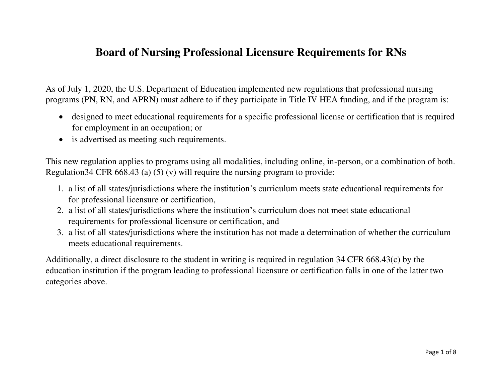## **Board of Nursing Professional Licensure Requirements for RNs**

As of July 1, 2020, the U.S. Department of Education implemented new regulations that professional nursing programs (PN, RN, and APRN) must adhere to if they participate in Title IV HEA funding, and if the program is:

- designed to meet educational requirements for a specific professional license or certification that is required for employment in an occupation; or
- is advertised as meeting such requirements.

This new regulation applies to programs using all modalities, including online, in-person, or a combination of both. Regulation34 CFR 668.43 (a) (5) (v) will require the nursing program to provide:

- 1. a list of all states/jurisdictions where the institution's curriculum meets state educational requirements for for professional licensure or certification,
- 2. a list of all states/jurisdictions where the institution's curriculum does not meet state educational requirements for professional licensure or certification, and
- 3. a list of all states/jurisdictions where the institution has not made a determination of whether the curriculum meets educational requirements.

Additionally, a direct disclosure to the student in writing is required in regulation 34 CFR 668.43(c) by the education institution if the program leading to professional licensure or certification falls in one of the latter two categories above.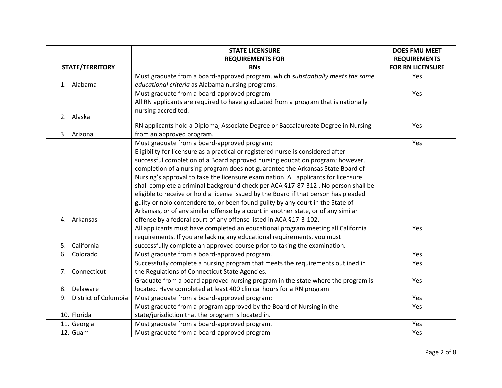|                            | <b>STATE LICENSURE</b>                                                               | <b>DOES FMU MEET</b>    |
|----------------------------|--------------------------------------------------------------------------------------|-------------------------|
|                            | <b>REQUIREMENTS FOR</b>                                                              | <b>REQUIREMENTS</b>     |
| <b>STATE/TERRITORY</b>     | <b>RNs</b>                                                                           | <b>FOR RN LICENSURE</b> |
|                            | Must graduate from a board-approved program, which substantially meets the same      | Yes                     |
| Alabama<br>1.              | educational criteria as Alabama nursing programs.                                    |                         |
|                            | Must graduate from a board-approved program                                          | Yes                     |
|                            | All RN applicants are required to have graduated from a program that is nationally   |                         |
|                            | nursing accredited.                                                                  |                         |
| 2. Alaska                  |                                                                                      |                         |
|                            | RN applicants hold a Diploma, Associate Degree or Baccalaureate Degree in Nursing    | Yes                     |
| 3. Arizona                 | from an approved program.                                                            |                         |
|                            | Must graduate from a board-approved program;                                         | Yes                     |
|                            | Eligibility for licensure as a practical or registered nurse is considered after     |                         |
|                            | successful completion of a Board approved nursing education program; however,        |                         |
|                            | completion of a nursing program does not guarantee the Arkansas State Board of       |                         |
|                            | Nursing's approval to take the licensure examination. All applicants for licensure   |                         |
|                            | shall complete a criminal background check per ACA §17-87-312. No person shall be    |                         |
|                            | eligible to receive or hold a license issued by the Board if that person has pleaded |                         |
|                            | guilty or nolo contendere to, or been found guilty by any court in the State of      |                         |
|                            | Arkansas, or of any similar offense by a court in another state, or of any similar   |                         |
| 4. Arkansas                | offense by a federal court of any offense listed in ACA §17-3-102.                   |                         |
|                            | All applicants must have completed an educational program meeting all California     | Yes                     |
|                            | requirements. If you are lacking any educational requirements, you must              |                         |
| 5. California              | successfully complete an approved course prior to taking the examination.            |                         |
| Colorado<br>6.             | Must graduate from a board-approved program.                                         | Yes                     |
|                            | Successfully complete a nursing program that meets the requirements outlined in      | Yes                     |
| Connecticut<br>7.          | the Regulations of Connecticut State Agencies.                                       |                         |
|                            | Graduate from a board approved nursing program in the state where the program is     | Yes                     |
| Delaware<br>8.             | located. Have completed at least 400 clinical hours for a RN program                 |                         |
| District of Columbia<br>9. | Must graduate from a board-approved program;                                         | Yes                     |
|                            | Must graduate from a program approved by the Board of Nursing in the                 | Yes                     |
| 10. Florida                | state/jurisdiction that the program is located in.                                   |                         |
| 11. Georgia                | Must graduate from a board-approved program.                                         | Yes                     |
| 12. Guam                   | Must graduate from a board-approved program                                          | Yes                     |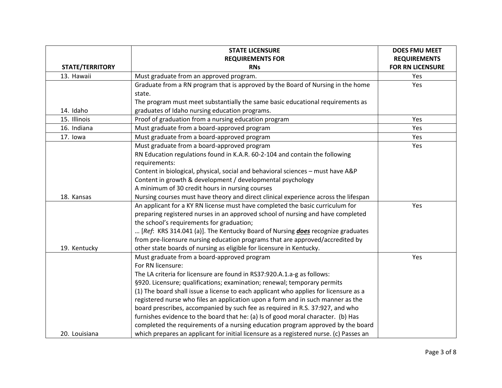|                        | <b>STATE LICENSURE</b>                                                                 | <b>DOES FMU MEET</b>    |  |
|------------------------|----------------------------------------------------------------------------------------|-------------------------|--|
|                        | <b>REQUIREMENTS FOR</b>                                                                | <b>REQUIREMENTS</b>     |  |
| <b>STATE/TERRITORY</b> | <b>RNs</b>                                                                             | <b>FOR RN LICENSURE</b> |  |
| 13. Hawaii             | Must graduate from an approved program.                                                | Yes                     |  |
|                        | Graduate from a RN program that is approved by the Board of Nursing in the home        | Yes                     |  |
|                        | state.                                                                                 |                         |  |
|                        | The program must meet substantially the same basic educational requirements as         |                         |  |
| 14. Idaho              | graduates of Idaho nursing education programs.                                         |                         |  |
| 15. Illinois           | Proof of graduation from a nursing education program                                   | Yes                     |  |
| 16. Indiana            | Must graduate from a board-approved program                                            | Yes                     |  |
| 17. Iowa               | Must graduate from a board-approved program                                            | Yes                     |  |
|                        | Must graduate from a board-approved program                                            | Yes                     |  |
|                        | RN Education regulations found in K.A.R. 60-2-104 and contain the following            |                         |  |
|                        | requirements:                                                                          |                         |  |
|                        | Content in biological, physical, social and behavioral sciences - must have A&P        |                         |  |
|                        | Content in growth & development / developmental psychology                             |                         |  |
|                        | A minimum of 30 credit hours in nursing courses                                        |                         |  |
| 18. Kansas             | Nursing courses must have theory and direct clinical experience across the lifespan    |                         |  |
|                        | An applicant for a KY RN license must have completed the basic curriculum for          | Yes                     |  |
|                        | preparing registered nurses in an approved school of nursing and have completed        |                         |  |
|                        | the school's requirements for graduation;                                              |                         |  |
|                        | [Ref: KRS 314.041 (a)]. The Kentucky Board of Nursing <i>does</i> recognize graduates  |                         |  |
|                        | from pre-licensure nursing education programs that are approved/accredited by          |                         |  |
| 19. Kentucky           | other state boards of nursing as eligible for licensure in Kentucky.                   |                         |  |
|                        | Must graduate from a board-approved program                                            | Yes                     |  |
|                        | For RN licensure:                                                                      |                         |  |
|                        | The LA criteria for licensure are found in RS37:920.A.1.a-g as follows:                |                         |  |
|                        | §920. Licensure; qualifications; examination; renewal; temporary permits               |                         |  |
|                        | (1) The board shall issue a license to each applicant who applies for licensure as a   |                         |  |
|                        | registered nurse who files an application upon a form and in such manner as the        |                         |  |
|                        | board prescribes, accompanied by such fee as required in R.S. 37:927, and who          |                         |  |
|                        | furnishes evidence to the board that he: (a) Is of good moral character. (b) Has       |                         |  |
|                        | completed the requirements of a nursing education program approved by the board        |                         |  |
| 20. Louisiana          | which prepares an applicant for initial licensure as a registered nurse. (c) Passes an |                         |  |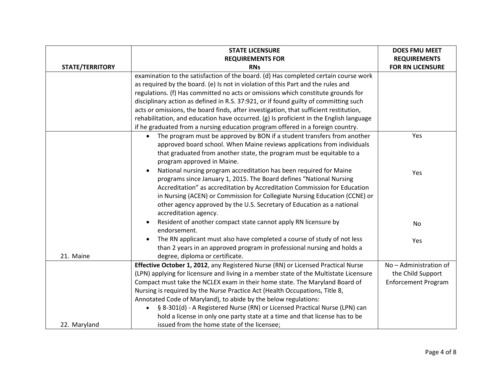|                        | <b>STATE LICENSURE</b>                                                                  | <b>DOES FMU MEET</b>       |
|------------------------|-----------------------------------------------------------------------------------------|----------------------------|
|                        | <b>REQUIREMENTS FOR</b>                                                                 | <b>REQUIREMENTS</b>        |
| <b>STATE/TERRITORY</b> | <b>RNs</b>                                                                              | <b>FOR RN LICENSURE</b>    |
|                        | examination to the satisfaction of the board. (d) Has completed certain course work     |                            |
|                        | as required by the board. (e) Is not in violation of this Part and the rules and        |                            |
|                        | regulations. (f) Has committed no acts or omissions which constitute grounds for        |                            |
|                        | disciplinary action as defined in R.S. 37:921, or if found guilty of committing such    |                            |
|                        | acts or omissions, the board finds, after investigation, that sufficient restitution,   |                            |
|                        | rehabilitation, and education have occurred. (g) Is proficient in the English language  |                            |
|                        | if he graduated from a nursing education program offered in a foreign country.          |                            |
|                        | The program must be approved by BON if a student transfers from another<br>$\bullet$    | Yes                        |
|                        | approved board school. When Maine reviews applications from individuals                 |                            |
|                        | that graduated from another state, the program must be equitable to a                   |                            |
|                        | program approved in Maine.                                                              |                            |
|                        | National nursing program accreditation has been required for Maine<br>$\bullet$         | Yes                        |
|                        | programs since January 1, 2015. The Board defines "National Nursing                     |                            |
|                        | Accreditation" as accreditation by Accreditation Commission for Education               |                            |
|                        | in Nursing (ACEN) or Commission for Collegiate Nursing Education (CCNE) or              |                            |
|                        | other agency approved by the U.S. Secretary of Education as a national                  |                            |
|                        | accreditation agency.                                                                   |                            |
|                        | Resident of another compact state cannot apply RN licensure by                          | No                         |
|                        | endorsement.                                                                            |                            |
|                        | The RN applicant must also have completed a course of study of not less<br>$\bullet$    | Yes                        |
|                        | than 2 years in an approved program in professional nursing and holds a                 |                            |
| 21. Maine              | degree, diploma or certificate.                                                         |                            |
|                        | Effective October 1, 2012, any Registered Nurse (RN) or Licensed Practical Nurse        | No - Administration of     |
|                        | (LPN) applying for licensure and living in a member state of the Multistate Licensure   | the Child Support          |
|                        | Compact must take the NCLEX exam in their home state. The Maryland Board of             | <b>Enforcement Program</b> |
|                        | Nursing is required by the Nurse Practice Act (Health Occupations, Title 8,             |                            |
|                        | Annotated Code of Maryland), to abide by the below regulations:                         |                            |
|                        | § 8-301(d) - A Registered Nurse (RN) or Licensed Practical Nurse (LPN) can<br>$\bullet$ |                            |
|                        | hold a license in only one party state at a time and that license has to be             |                            |
| 22. Maryland           | issued from the home state of the licensee;                                             |                            |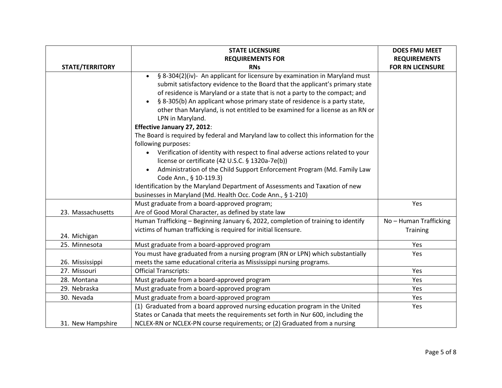|                        | <b>STATE LICENSURE</b>                                                                                                                                                                                                                                                                                                                                                                                                                                                                                                                                                                                                                                                                                                                                                                                                                                                                                                                        | <b>DOES FMU MEET</b>    |  |
|------------------------|-----------------------------------------------------------------------------------------------------------------------------------------------------------------------------------------------------------------------------------------------------------------------------------------------------------------------------------------------------------------------------------------------------------------------------------------------------------------------------------------------------------------------------------------------------------------------------------------------------------------------------------------------------------------------------------------------------------------------------------------------------------------------------------------------------------------------------------------------------------------------------------------------------------------------------------------------|-------------------------|--|
|                        | <b>REQUIREMENTS FOR</b><br><b>REQUIREMENTS</b>                                                                                                                                                                                                                                                                                                                                                                                                                                                                                                                                                                                                                                                                                                                                                                                                                                                                                                |                         |  |
| <b>STATE/TERRITORY</b> | <b>RNs</b>                                                                                                                                                                                                                                                                                                                                                                                                                                                                                                                                                                                                                                                                                                                                                                                                                                                                                                                                    | <b>FOR RN LICENSURE</b> |  |
|                        | § 8-304(2)(iv)- An applicant for licensure by examination in Maryland must<br>$\bullet$<br>submit satisfactory evidence to the Board that the applicant's primary state<br>of residence is Maryland or a state that is not a party to the compact; and<br>§ 8-305(b) An applicant whose primary state of residence is a party state,<br>$\bullet$<br>other than Maryland, is not entitled to be examined for a license as an RN or<br>LPN in Maryland.<br>Effective January 27, 2012:<br>The Board is required by federal and Maryland law to collect this information for the<br>following purposes:<br>Verification of identity with respect to final adverse actions related to your<br>license or certificate (42 U.S.C. § 1320a-7e(b))<br>Administration of the Child Support Enforcement Program (Md. Family Law<br>$\bullet$<br>Code Ann., § 10-119.3)<br>Identification by the Maryland Department of Assessments and Taxation of new |                         |  |
|                        | businesses in Maryland (Md. Health Occ. Code Ann., § 1-210)                                                                                                                                                                                                                                                                                                                                                                                                                                                                                                                                                                                                                                                                                                                                                                                                                                                                                   |                         |  |
| 23. Massachusetts      | Must graduate from a board-approved program;<br>Are of Good Moral Character, as defined by state law                                                                                                                                                                                                                                                                                                                                                                                                                                                                                                                                                                                                                                                                                                                                                                                                                                          | Yes                     |  |
|                        | Human Trafficking - Beginning January 6, 2022, completion of training to identify                                                                                                                                                                                                                                                                                                                                                                                                                                                                                                                                                                                                                                                                                                                                                                                                                                                             | No - Human Trafficking  |  |
| 24. Michigan           | victims of human trafficking is required for initial licensure.                                                                                                                                                                                                                                                                                                                                                                                                                                                                                                                                                                                                                                                                                                                                                                                                                                                                               | Training                |  |
| 25. Minnesota          | Must graduate from a board-approved program                                                                                                                                                                                                                                                                                                                                                                                                                                                                                                                                                                                                                                                                                                                                                                                                                                                                                                   | Yes                     |  |
| 26. Mississippi        | You must have graduated from a nursing program (RN or LPN) which substantially<br>meets the same educational criteria as Mississippi nursing programs.                                                                                                                                                                                                                                                                                                                                                                                                                                                                                                                                                                                                                                                                                                                                                                                        | Yes                     |  |
| 27. Missouri           | <b>Official Transcripts:</b>                                                                                                                                                                                                                                                                                                                                                                                                                                                                                                                                                                                                                                                                                                                                                                                                                                                                                                                  | Yes                     |  |
| 28. Montana            | Must graduate from a board-approved program                                                                                                                                                                                                                                                                                                                                                                                                                                                                                                                                                                                                                                                                                                                                                                                                                                                                                                   | Yes                     |  |
| 29. Nebraska           | Must graduate from a board-approved program                                                                                                                                                                                                                                                                                                                                                                                                                                                                                                                                                                                                                                                                                                                                                                                                                                                                                                   | Yes                     |  |
| 30. Nevada             | Must graduate from a board-approved program                                                                                                                                                                                                                                                                                                                                                                                                                                                                                                                                                                                                                                                                                                                                                                                                                                                                                                   | Yes                     |  |
| 31. New Hampshire      | (1) Graduated from a board approved nursing education program in the United<br>States or Canada that meets the requirements set forth in Nur 600, including the<br>NCLEX-RN or NCLEX-PN course requirements; or (2) Graduated from a nursing                                                                                                                                                                                                                                                                                                                                                                                                                                                                                                                                                                                                                                                                                                  | Yes                     |  |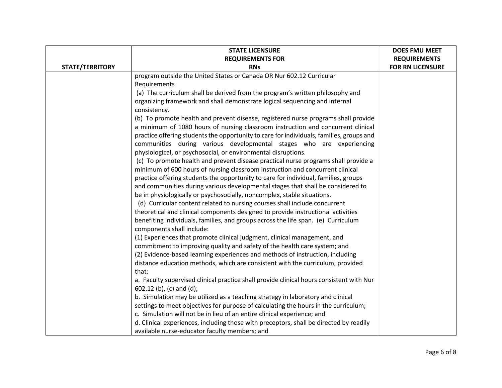|                 | <b>STATE LICENSURE</b>                                                                                         | <b>DOES FMU MEET</b>    |
|-----------------|----------------------------------------------------------------------------------------------------------------|-------------------------|
|                 | <b>REQUIREMENTS FOR</b>                                                                                        | <b>REQUIREMENTS</b>     |
| STATE/TERRITORY | <b>RNs</b>                                                                                                     | <b>FOR RN LICENSURE</b> |
|                 | program outside the United States or Canada OR Nur 602.12 Curricular                                           |                         |
|                 | Requirements                                                                                                   |                         |
|                 | (a) The curriculum shall be derived from the program's written philosophy and                                  |                         |
|                 | organizing framework and shall demonstrate logical sequencing and internal                                     |                         |
|                 | consistency.                                                                                                   |                         |
|                 | (b) To promote health and prevent disease, registered nurse programs shall provide                             |                         |
|                 | a minimum of 1080 hours of nursing classroom instruction and concurrent clinical                               |                         |
|                 | practice offering students the opportunity to care for individuals, families, groups and                       |                         |
|                 | communities during various developmental stages who are experiencing                                           |                         |
|                 | physiological, or psychosocial, or environmental disruptions.                                                  |                         |
|                 | (c) To promote health and prevent disease practical nurse programs shall provide a                             |                         |
|                 | minimum of 600 hours of nursing classroom instruction and concurrent clinical                                  |                         |
|                 | practice offering students the opportunity to care for individual, families, groups                            |                         |
|                 | and communities during various developmental stages that shall be considered to                                |                         |
|                 | be in physiologically or psychosocially, noncomplex, stable situations.                                        |                         |
|                 | (d) Curricular content related to nursing courses shall include concurrent                                     |                         |
|                 | theoretical and clinical components designed to provide instructional activities                               |                         |
|                 | benefiting individuals, families, and groups across the life span. (e) Curriculum<br>components shall include: |                         |
|                 | (1) Experiences that promote clinical judgment, clinical management, and                                       |                         |
|                 | commitment to improving quality and safety of the health care system; and                                      |                         |
|                 | (2) Evidence-based learning experiences and methods of instruction, including                                  |                         |
|                 | distance education methods, which are consistent with the curriculum, provided                                 |                         |
|                 | that:                                                                                                          |                         |
|                 | a. Faculty supervised clinical practice shall provide clinical hours consistent with Nur                       |                         |
|                 | 602.12 (b), (c) and (d);                                                                                       |                         |
|                 | b. Simulation may be utilized as a teaching strategy in laboratory and clinical                                |                         |
|                 | settings to meet objectives for purpose of calculating the hours in the curriculum;                            |                         |
|                 | c. Simulation will not be in lieu of an entire clinical experience; and                                        |                         |
|                 | d. Clinical experiences, including those with preceptors, shall be directed by readily                         |                         |
|                 | available nurse-educator faculty members; and                                                                  |                         |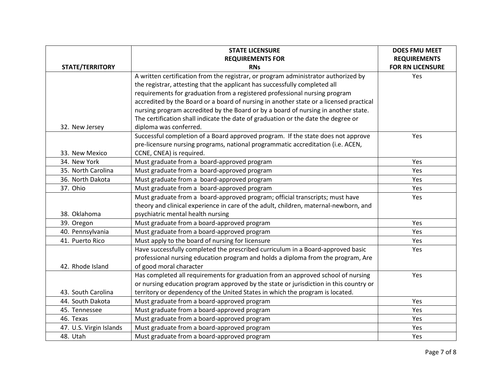|                         | <b>STATE LICENSURE</b>                                                                 | <b>DOES FMU MEET</b>    |
|-------------------------|----------------------------------------------------------------------------------------|-------------------------|
|                         | <b>REQUIREMENTS FOR</b>                                                                | <b>REQUIREMENTS</b>     |
| <b>STATE/TERRITORY</b>  | <b>RNs</b>                                                                             | <b>FOR RN LICENSURE</b> |
|                         | A written certification from the registrar, or program administrator authorized by     | Yes                     |
|                         | the registrar, attesting that the applicant has successfully completed all             |                         |
|                         | requirements for graduation from a registered professional nursing program             |                         |
|                         | accredited by the Board or a board of nursing in another state or a licensed practical |                         |
|                         | nursing program accredited by the Board or by a board of nursing in another state.     |                         |
|                         | The certification shall indicate the date of graduation or the date the degree or      |                         |
| 32. New Jersey          | diploma was conferred.                                                                 |                         |
|                         | Successful completion of a Board approved program. If the state does not approve       | Yes                     |
|                         | pre-licensure nursing programs, national programmatic accreditation (i.e. ACEN,        |                         |
| 33. New Mexico          | CCNE, CNEA) is required.                                                               |                         |
| 34. New York            | Must graduate from a board-approved program                                            | Yes                     |
| 35. North Carolina      | Must graduate from a board-approved program                                            | Yes                     |
| 36. North Dakota        | Must graduate from a board-approved program                                            | Yes                     |
| 37. Ohio                | Must graduate from a board-approved program                                            | Yes                     |
|                         | Must graduate from a board-approved program; official transcripts; must have           | Yes                     |
|                         | theory and clinical experience in care of the adult, children, maternal-newborn, and   |                         |
| 38. Oklahoma            | psychiatric mental health nursing                                                      |                         |
| 39. Oregon              | Must graduate from a board-approved program                                            | Yes                     |
| 40. Pennsylvania        | Must graduate from a board-approved program                                            | Yes                     |
| 41. Puerto Rico         | Must apply to the board of nursing for licensure                                       | Yes                     |
|                         | Have successfully completed the prescribed curriculum in a Board-approved basic        | Yes                     |
|                         | professional nursing education program and holds a diploma from the program, Are       |                         |
| 42. Rhode Island        | of good moral character                                                                |                         |
|                         | Has completed all requirements for graduation from an approved school of nursing       | Yes                     |
|                         | or nursing education program approved by the state or jurisdiction in this country or  |                         |
| 43. South Carolina      | territory or dependency of the United States in which the program is located.          |                         |
| 44. South Dakota        | Must graduate from a board-approved program                                            | Yes                     |
| 45. Tennessee           | Must graduate from a board-approved program                                            | Yes                     |
| 46. Texas               | Must graduate from a board-approved program                                            | Yes                     |
| 47. U.S. Virgin Islands | Must graduate from a board-approved program                                            | Yes                     |
| 48. Utah                | Must graduate from a board-approved program                                            | Yes                     |